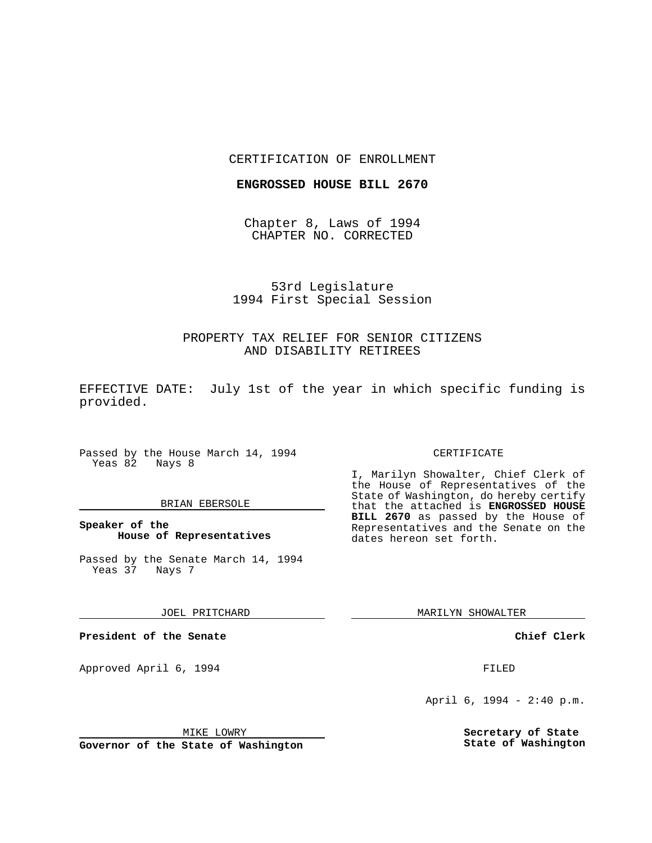## CERTIFICATION OF ENROLLMENT

## **ENGROSSED HOUSE BILL 2670**

Chapter 8, Laws of 1994 CHAPTER NO. CORRECTED

# 53rd Legislature 1994 First Special Session

# PROPERTY TAX RELIEF FOR SENIOR CITIZENS AND DISABILITY RETIREES

EFFECTIVE DATE: July 1st of the year in which specific funding is provided.

Passed by the House March 14, 1994 Yeas 82 Nays 8

## BRIAN EBERSOLE

**Speaker of the House of Representatives**

Passed by the Senate March 14, 1994 Yeas 37 Nays 7

JOEL PRITCHARD

**President of the Senate**

Approved April 6, 1994 **FILED** 

#### MIKE LOWRY

**Governor of the State of Washington**

#### CERTIFICATE

I, Marilyn Showalter, Chief Clerk of the House of Representatives of the State of Washington, do hereby certify that the attached is **ENGROSSED HOUSE BILL 2670** as passed by the House of Representatives and the Senate on the dates hereon set forth.

MARILYN SHOWALTER

**Chief Clerk**

April 6, 1994 - 2:40 p.m.

**Secretary of State State of Washington**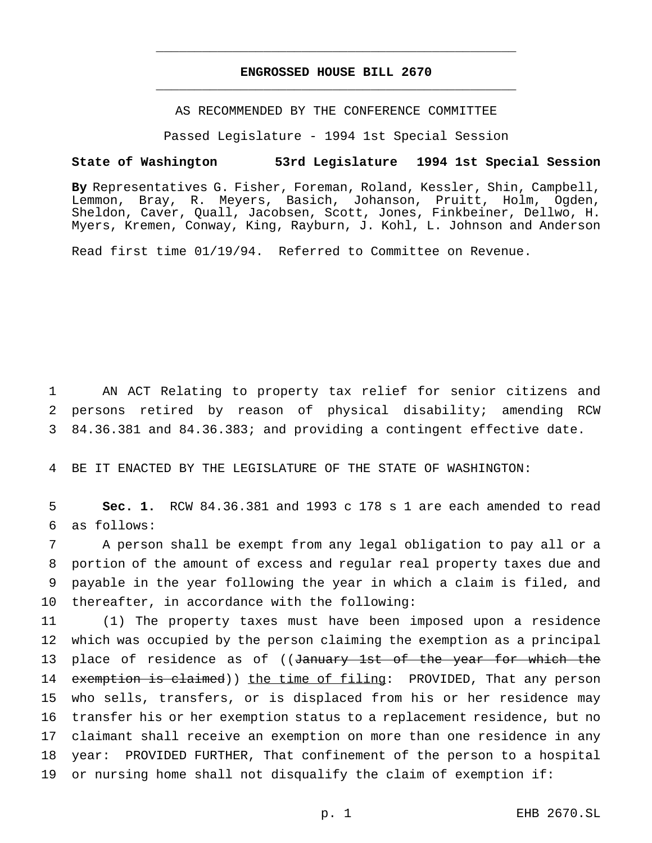## **ENGROSSED HOUSE BILL 2670** \_\_\_\_\_\_\_\_\_\_\_\_\_\_\_\_\_\_\_\_\_\_\_\_\_\_\_\_\_\_\_\_\_\_\_\_\_\_\_\_\_\_\_\_\_\_\_

\_\_\_\_\_\_\_\_\_\_\_\_\_\_\_\_\_\_\_\_\_\_\_\_\_\_\_\_\_\_\_\_\_\_\_\_\_\_\_\_\_\_\_\_\_\_\_

AS RECOMMENDED BY THE CONFERENCE COMMITTEE

Passed Legislature - 1994 1st Special Session

#### **State of Washington 53rd Legislature 1994 1st Special Session**

**By** Representatives G. Fisher, Foreman, Roland, Kessler, Shin, Campbell, Lemmon, Bray, R. Meyers, Basich, Johanson, Pruitt, Holm, Ogden, Sheldon, Caver, Quall, Jacobsen, Scott, Jones, Finkbeiner, Dellwo, H. Myers, Kremen, Conway, King, Rayburn, J. Kohl, L. Johnson and Anderson

Read first time 01/19/94. Referred to Committee on Revenue.

1 AN ACT Relating to property tax relief for senior citizens and 2 persons retired by reason of physical disability; amending RCW 3 84.36.381 and 84.36.383; and providing a contingent effective date.

4 BE IT ENACTED BY THE LEGISLATURE OF THE STATE OF WASHINGTON:

5 **Sec. 1.** RCW 84.36.381 and 1993 c 178 s 1 are each amended to read 6 as follows:

 A person shall be exempt from any legal obligation to pay all or a portion of the amount of excess and regular real property taxes due and payable in the year following the year in which a claim is filed, and thereafter, in accordance with the following:

 (1) The property taxes must have been imposed upon a residence which was occupied by the person claiming the exemption as a principal 13 place of residence as of ((January 1st of the year for which the 14 exemption is claimed)) the time of filing: PROVIDED, That any person who sells, transfers, or is displaced from his or her residence may transfer his or her exemption status to a replacement residence, but no claimant shall receive an exemption on more than one residence in any year: PROVIDED FURTHER, That confinement of the person to a hospital or nursing home shall not disqualify the claim of exemption if: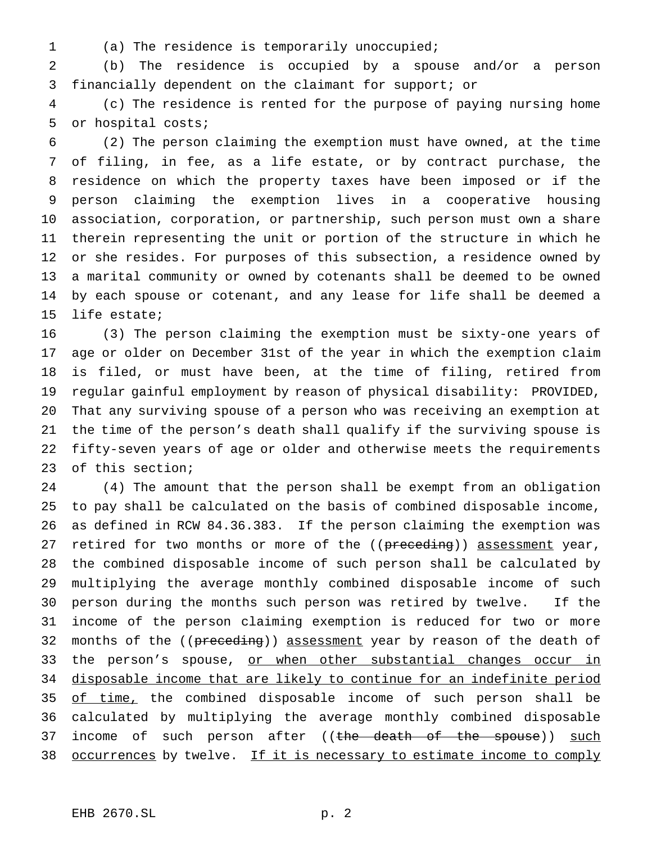- 
- (a) The residence is temporarily unoccupied;

 (b) The residence is occupied by a spouse and/or a person financially dependent on the claimant for support; or

 (c) The residence is rented for the purpose of paying nursing home or hospital costs;

 (2) The person claiming the exemption must have owned, at the time of filing, in fee, as a life estate, or by contract purchase, the residence on which the property taxes have been imposed or if the person claiming the exemption lives in a cooperative housing association, corporation, or partnership, such person must own a share therein representing the unit or portion of the structure in which he or she resides. For purposes of this subsection, a residence owned by a marital community or owned by cotenants shall be deemed to be owned by each spouse or cotenant, and any lease for life shall be deemed a life estate;

 (3) The person claiming the exemption must be sixty-one years of age or older on December 31st of the year in which the exemption claim is filed, or must have been, at the time of filing, retired from regular gainful employment by reason of physical disability: PROVIDED, That any surviving spouse of a person who was receiving an exemption at the time of the person's death shall qualify if the surviving spouse is fifty-seven years of age or older and otherwise meets the requirements of this section;

 (4) The amount that the person shall be exempt from an obligation to pay shall be calculated on the basis of combined disposable income, as defined in RCW 84.36.383. If the person claiming the exemption was 27 retired for two months or more of the ((preceding)) assessment year, the combined disposable income of such person shall be calculated by multiplying the average monthly combined disposable income of such person during the months such person was retired by twelve. If the income of the person claiming exemption is reduced for two or more 32 months of the ((preceding)) assessment year by reason of the death of 33 the person's spouse, or when other substantial changes occur in disposable income that are likely to continue for an indefinite period 35 of time, the combined disposable income of such person shall be calculated by multiplying the average monthly combined disposable 37 income of such person after ((the death of the spouse)) such 38 occurrences by twelve. If it is necessary to estimate income to comply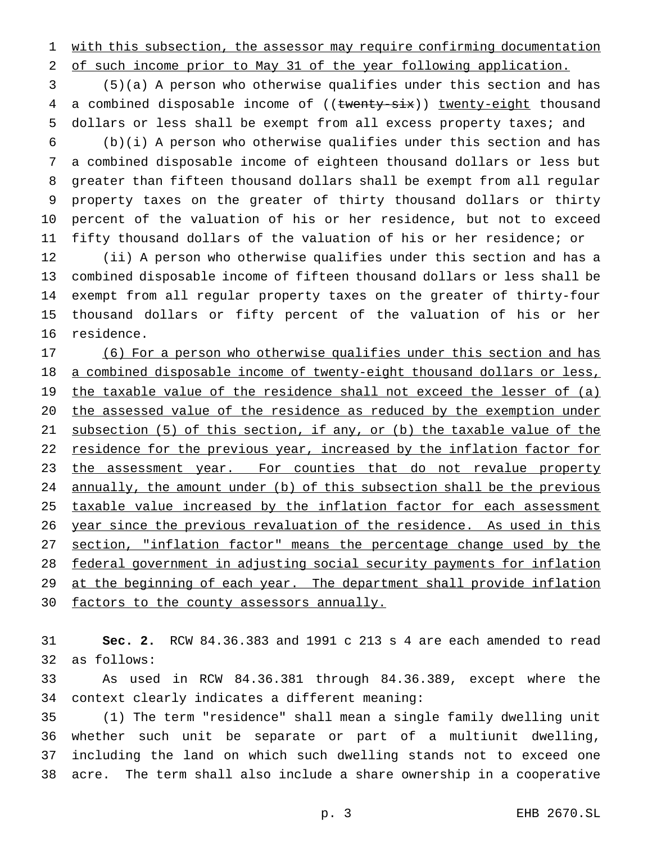with this subsection, the assessor may require confirming documentation

of such income prior to May 31 of the year following application.

 (5)(a) A person who otherwise qualifies under this section and has 4 a combined disposable income of ((twenty-six)) twenty-eight thousand dollars or less shall be exempt from all excess property taxes; and

 (b)(i) A person who otherwise qualifies under this section and has a combined disposable income of eighteen thousand dollars or less but greater than fifteen thousand dollars shall be exempt from all regular property taxes on the greater of thirty thousand dollars or thirty percent of the valuation of his or her residence, but not to exceed fifty thousand dollars of the valuation of his or her residence; or

 (ii) A person who otherwise qualifies under this section and has a combined disposable income of fifteen thousand dollars or less shall be exempt from all regular property taxes on the greater of thirty-four thousand dollars or fifty percent of the valuation of his or her residence.

 (6) For a person who otherwise qualifies under this section and has 18 a combined disposable income of twenty-eight thousand dollars or less, 19 the taxable value of the residence shall not exceed the lesser of (a) the assessed value of the residence as reduced by the exemption under subsection (5) of this section, if any, or (b) the taxable value of the 22 residence for the previous year, increased by the inflation factor for 23 the assessment year. For counties that do not revalue property annually, the amount under (b) of this subsection shall be the previous 25 taxable value increased by the inflation factor for each assessment 26 year since the previous revaluation of the residence. As used in this 27 section, "inflation factor" means the percentage change used by the federal government in adjusting social security payments for inflation 29 at the beginning of each year. The department shall provide inflation 30 factors to the county assessors annually.

 **Sec. 2.** RCW 84.36.383 and 1991 c 213 s 4 are each amended to read as follows:

 As used in RCW 84.36.381 through 84.36.389, except where the context clearly indicates a different meaning:

 (1) The term "residence" shall mean a single family dwelling unit whether such unit be separate or part of a multiunit dwelling, including the land on which such dwelling stands not to exceed one acre. The term shall also include a share ownership in a cooperative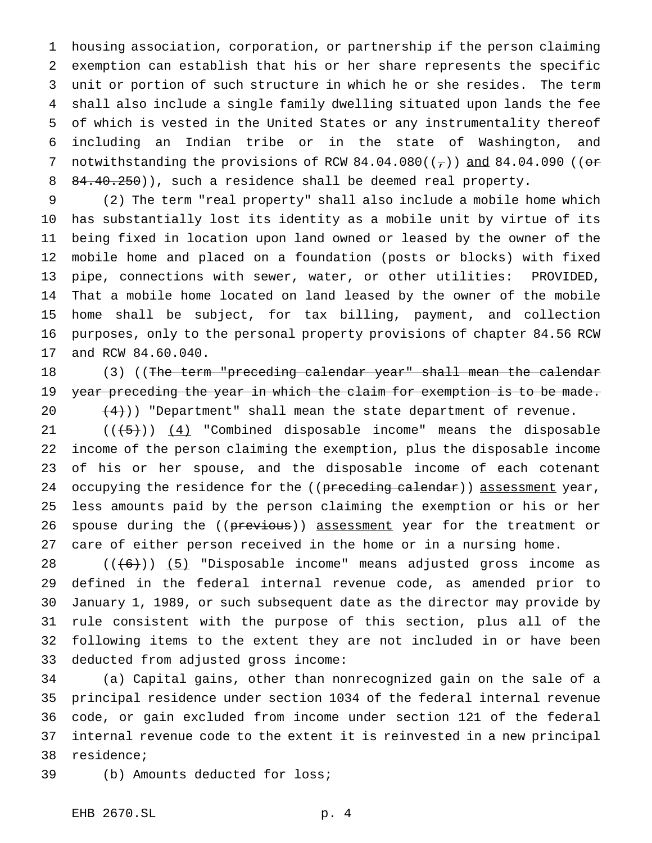housing association, corporation, or partnership if the person claiming exemption can establish that his or her share represents the specific unit or portion of such structure in which he or she resides. The term shall also include a single family dwelling situated upon lands the fee of which is vested in the United States or any instrumentality thereof including an Indian tribe or in the state of Washington, and 7 notwithstanding the provisions of RCW  $84.04.080$  ( $(\tau)$ ) and  $84.04.090$  (( $\sigma$ 8 84.40.250)), such a residence shall be deemed real property.

 (2) The term "real property" shall also include a mobile home which has substantially lost its identity as a mobile unit by virtue of its being fixed in location upon land owned or leased by the owner of the mobile home and placed on a foundation (posts or blocks) with fixed pipe, connections with sewer, water, or other utilities: PROVIDED, That a mobile home located on land leased by the owner of the mobile home shall be subject, for tax billing, payment, and collection purposes, only to the personal property provisions of chapter 84.56 RCW and RCW 84.60.040.

18 (3) ((The term "preceding calendar year" shall mean the calendar 19 year preceding the year in which the claim for exemption is to be made.  $(4)$ )) "Department" shall mean the state department of revenue.

 $((+5))$   $(4)$  "Combined disposable income" means the disposable income of the person claiming the exemption, plus the disposable income of his or her spouse, and the disposable income of each cotenant 24 occupying the residence for the ((preceding calendar)) assessment year, less amounts paid by the person claiming the exemption or his or her 26 spouse during the ((previous)) assessment year for the treatment or care of either person received in the home or in a nursing home.

 $((+6))$   $(5)$  "Disposable income" means adjusted gross income as defined in the federal internal revenue code, as amended prior to January 1, 1989, or such subsequent date as the director may provide by rule consistent with the purpose of this section, plus all of the following items to the extent they are not included in or have been deducted from adjusted gross income:

 (a) Capital gains, other than nonrecognized gain on the sale of a principal residence under section 1034 of the federal internal revenue code, or gain excluded from income under section 121 of the federal internal revenue code to the extent it is reinvested in a new principal residence;

(b) Amounts deducted for loss;